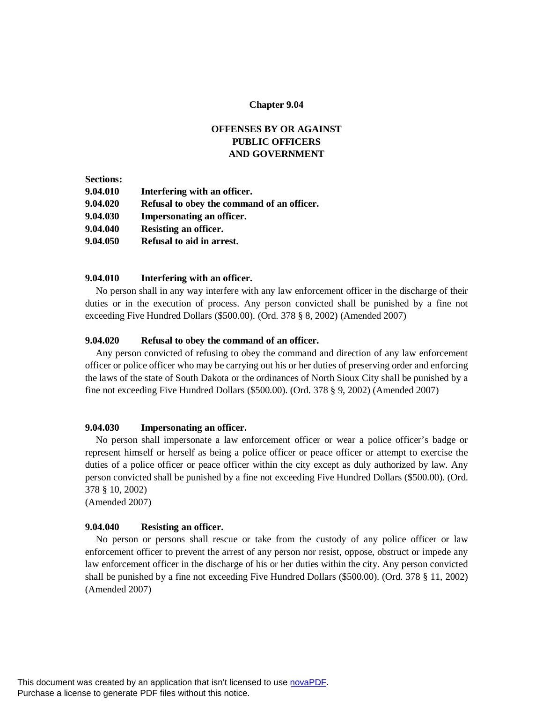## **Chapter 9.04**

# **OFFENSES BY OR AGAINST PUBLIC OFFICERS AND GOVERNMENT**

**Sections:**

| 9.04.010 | Interfering with an officer.               |
|----------|--------------------------------------------|
| 9.04.020 | Refusal to obey the command of an officer. |
| 9.04.030 | Impersonating an officer.                  |
| 9.04.040 | Resisting an officer.                      |
| 9.04.050 | Refusal to aid in arrest.                  |

# **9.04.010 Interfering with an officer.**

No person shall in any way interfere with any law enforcement officer in the discharge of their duties or in the execution of process. Any person convicted shall be punished by a fine not exceeding Five Hundred Dollars (\$500.00). (Ord. 378 § 8, 2002) (Amended 2007)

#### **9.04.020 Refusal to obey the command of an officer.**

Any person convicted of refusing to obey the command and direction of any law enforcement officer or police officer who may be carrying out his or her duties of preserving order and enforcing the laws of the state of South Dakota or the ordinances of North Sioux City shall be punished by a fine not exceeding Five Hundred Dollars (\$500.00). (Ord. 378 § 9, 2002) (Amended 2007)

## **9.04.030 Impersonating an officer.**

No person shall impersonate a law enforcement officer or wear a police officer's badge or represent himself or herself as being a police officer or peace officer or attempt to exercise the duties of a police officer or peace officer within the city except as duly authorized by law. Any person convicted shall be punished by a fine not exceeding Five Hundred Dollars (\$500.00). (Ord. 378 § 10, 2002)

(Amended 2007)

## **9.04.040 Resisting an officer.**

No person or persons shall rescue or take from the custody of any police officer or law enforcement officer to prevent the arrest of any person nor resist, oppose, obstruct or impede any law enforcement officer in the discharge of his or her duties within the city. Any person convicted shall be punished by a fine not exceeding Five Hundred Dollars (\$500.00). (Ord. 378 § 11, 2002) (Amended 2007)